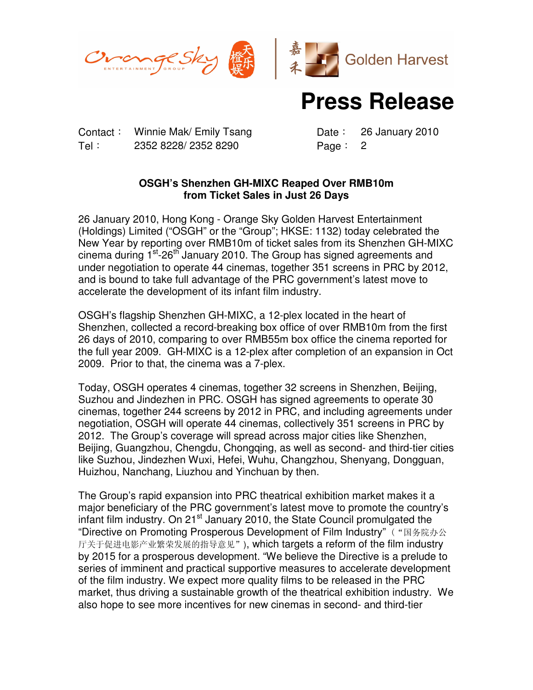



## **Press Release**

Contact: Winnie Mak/ Emily Tsang Date: 26 January 2010 Tel: 2352 8228/ 2352 8290 Page: 2

## **OSGH's Shenzhen GH-MIXC Reaped Over RMB10m from Ticket Sales in Just 26 Days**

26 January 2010, Hong Kong - Orange Sky Golden Harvest Entertainment (Holdings) Limited ("OSGH" or the "Group"; HKSE: 1132) today celebrated the New Year by reporting over RMB10m of ticket sales from its Shenzhen GH-MIXC cinema during  $1^{st}$ -26<sup>th</sup> January 2010. The Group has signed agreements and under negotiation to operate 44 cinemas, together 351 screens in PRC by 2012, and is bound to take full advantage of the PRC government's latest move to accelerate the development of its infant film industry.

OSGH's flagship Shenzhen GH-MIXC, a 12-plex located in the heart of Shenzhen, collected a record-breaking box office of over RMB10m from the first 26 days of 2010, comparing to over RMB55m box office the cinema reported for the full year 2009. GH-MIXC is a 12-plex after completion of an expansion in Oct 2009. Prior to that, the cinema was a 7-plex.

Today, OSGH operates 4 cinemas, together 32 screens in Shenzhen, Beijing, Suzhou and Jindezhen in PRC. OSGH has signed agreements to operate 30 cinemas, together 244 screens by 2012 in PRC, and including agreements under negotiation, OSGH will operate 44 cinemas, collectively 351 screens in PRC by 2012. The Group's coverage will spread across major cities like Shenzhen, Beijing, Guangzhou, Chengdu, Chongqing, as well as second- and third-tier cities like Suzhou, Jindezhen Wuxi, Hefei, Wuhu, Changzhou, Shenyang, Dongguan, Huizhou, Nanchang, Liuzhou and Yinchuan by then.

The Group's rapid expansion into PRC theatrical exhibition market makes it a major beneficiary of the PRC government's latest move to promote the country's infant film industry. On 21<sup>st</sup> January 2010, the State Council promulgated the "Directive on Promoting Prosperous Development of Film Industry" ("国务院办公 厅关于促进电影产业繁荣发展的指导意见"), which targets a reform of the film industry by 2015 for a prosperous development. "We believe the Directive is a prelude to series of imminent and practical supportive measures to accelerate development of the film industry. We expect more quality films to be released in the PRC market, thus driving a sustainable growth of the theatrical exhibition industry. We also hope to see more incentives for new cinemas in second- and third-tier